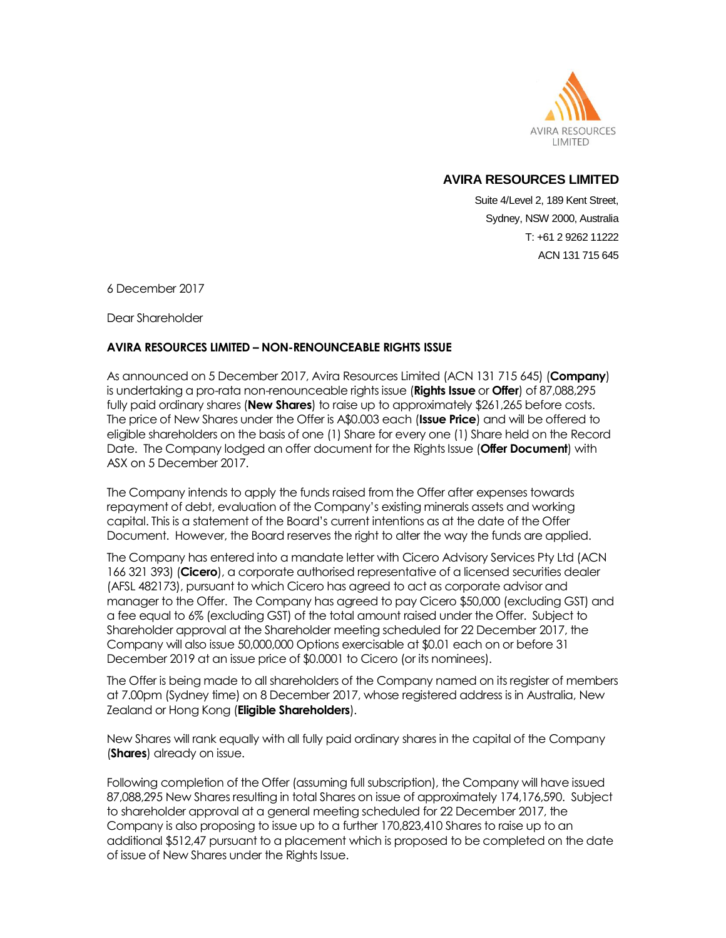

Suite 4/Level 2, 189 Kent Street, Sydney, NSW 2000, Australia T: +61 2 9262 11222 ACN 131 715 645

6 December 2017

Dear Shareholder

### **AVIRA RESOURCES LIMITED – NON-RENOUNCEABLE RIGHTS ISSUE**

As announced on 5 December 2017, Avira Resources Limited (ACN 131 715 645) (**Company**) is undertaking a pro-rata non-renounceable rights issue (**Rights Issue** or **Offer**) of 87,088,295 fully paid ordinary shares (**New Shares**) to raise up to approximately \$261,265 before costs. The price of New Shares under the Offer is A\$0.003 each (**Issue Price**) and will be offered to eligible shareholders on the basis of one (1) Share for every one (1) Share held on the Record Date. The Company lodged an offer document for the Rights Issue (**Offer Document**) with ASX on 5 December 2017.

The Company intends to apply the funds raised from the Offer after expenses towards repayment of debt, evaluation of the Company's existing minerals assets and working capital. This is a statement of the Board's current intentions as at the date of the Offer Document. However, the Board reserves the right to alter the way the funds are applied.

The Company has entered into a mandate letter with Cicero Advisory Services Pty Ltd (ACN 166 321 393) (**Cicero**), a corporate authorised representative of a licensed securities dealer (AFSL 482173), pursuant to which Cicero has agreed to act as corporate advisor and manager to the Offer. The Company has agreed to pay Cicero \$50,000 (excluding GST) and a fee equal to 6% (excluding GST) of the total amount raised under the Offer. Subject to Shareholder approval at the Shareholder meeting scheduled for 22 December 2017, the Company will also issue 50,000,000 Options exercisable at \$0.01 each on or before 31 December 2019 at an issue price of \$0.0001 to Cicero (or its nominees).

The Offer is being made to all shareholders of the Company named on its register of members at 7.00pm (Sydney time) on 8 December 2017, whose registered address is in Australia, New Zealand or Hong Kong (**Eligible Shareholders**).

New Shares will rank equally with all fully paid ordinary shares in the capital of the Company (**Shares**) already on issue.

Following completion of the Offer (assuming full subscription), the Company will have issued 87,088,295 New Shares resulting in total Shares on issue of approximately 174,176,590. Subject to shareholder approval at a general meeting scheduled for 22 December 2017, the Company is also proposing to issue up to a further 170,823,410 Shares to raise up to an additional \$512,47 pursuant to a placement which is proposed to be completed on the date of issue of New Shares under the Rights Issue.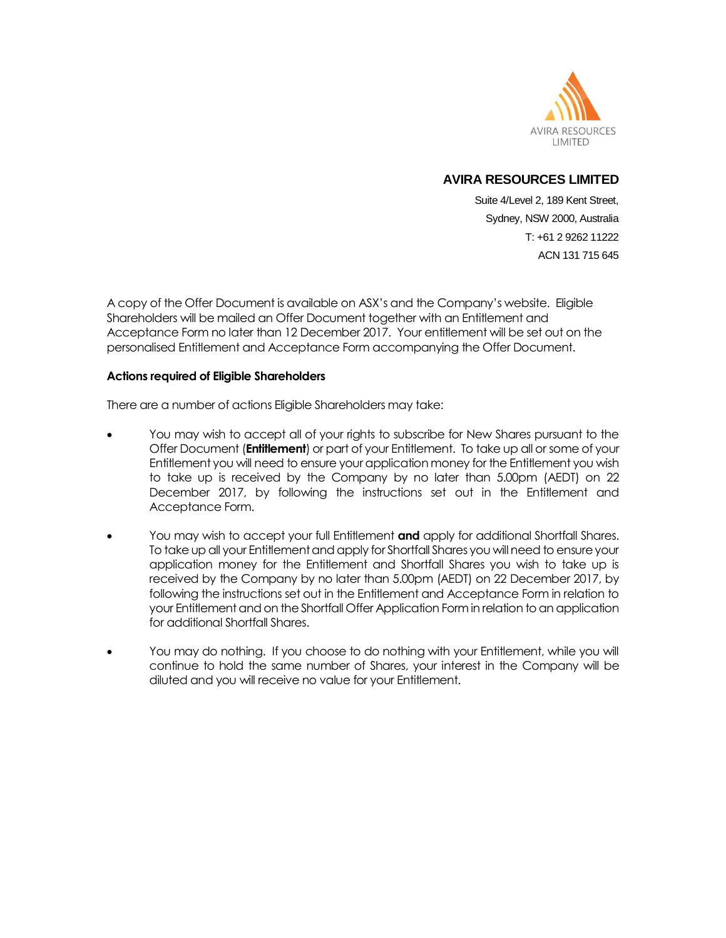

Suite 4/Level 2, 189 Kent Street, Sydney, NSW 2000, Australia T: +61 2 9262 11222 ACN 131 715 645

A copy of the Offer Document is available on ASX's and the Company's website. Eligible Shareholders will be mailed an Offer Document together with an Entitlement and Acceptance Form no later than 12 December 2017. Your entitlement will be set out on the personalised Entitlement and Acceptance Form accompanying the Offer Document.

#### **Actions required of Eligible Shareholders**

There are a number of actions Eligible Shareholders may take:

- You may wish to accept all of your rights to subscribe for New Shares pursuant to the Offer Document (**Entitlement**) or part of your Entitlement. To take up all or some of your Entitlement you will need to ensure your application money for the Entitlement you wish to take up is received by the Company by no later than 5.00pm (AEDT) on 22 December 2017, by following the instructions set out in the Entitlement and Acceptance Form.
- You may wish to accept your full Entitlement **and** apply for additional Shortfall Shares. To take up all your Entitlement and apply for Shortfall Shares you will need to ensure your application money for the Entitlement and Shortfall Shares you wish to take up is received by the Company by no later than 5.00pm (AEDT) on 22 December 2017, by following the instructions set out in the Entitlement and Acceptance Form in relation to your Entitlement and on the Shortfall Offer Application Form in relation to an application for additional Shortfall Shares.
- You may do nothing. If you choose to do nothing with your Entitlement, while you will continue to hold the same number of Shares, your interest in the Company will be diluted and you will receive no value for your Entitlement.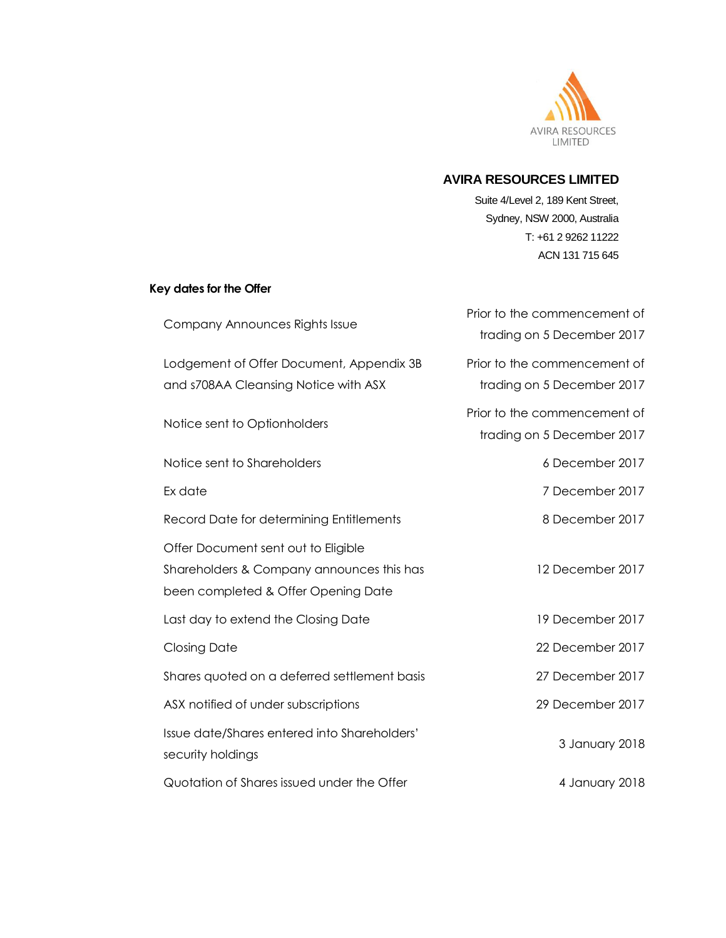

Suite 4/Level 2, 189 Kent Street, Sydney, NSW 2000, Australia T: +61 2 9262 11222 ACN 131 715 645

# **Key dates for the Offer**

| Company Announces Rights Issue                                                                                          | Prior to the commencement of<br>trading on 5 December 2017 |
|-------------------------------------------------------------------------------------------------------------------------|------------------------------------------------------------|
| Lodgement of Offer Document, Appendix 3B<br>and s708AA Cleansing Notice with ASX                                        | Prior to the commencement of<br>trading on 5 December 2017 |
| Notice sent to Optionholders                                                                                            | Prior to the commencement of<br>trading on 5 December 2017 |
| Notice sent to Shareholders                                                                                             | 6 December 2017                                            |
| Ex date                                                                                                                 | 7 December 2017                                            |
| Record Date for determining Entitlements                                                                                | 8 December 2017                                            |
| Offer Document sent out to Eligible<br>Shareholders & Company announces this has<br>been completed & Offer Opening Date | 12 December 2017                                           |
| Last day to extend the Closing Date                                                                                     | 19 December 2017                                           |
| <b>Closing Date</b>                                                                                                     | 22 December 2017                                           |
| Shares quoted on a deferred settlement basis                                                                            | 27 December 2017                                           |
| ASX notified of under subscriptions                                                                                     | 29 December 2017                                           |
| Issue date/Shares entered into Shareholders'<br>security holdings                                                       | 3 January 2018                                             |
| Quotation of Shares issued under the Offer                                                                              | 4 January 2018                                             |